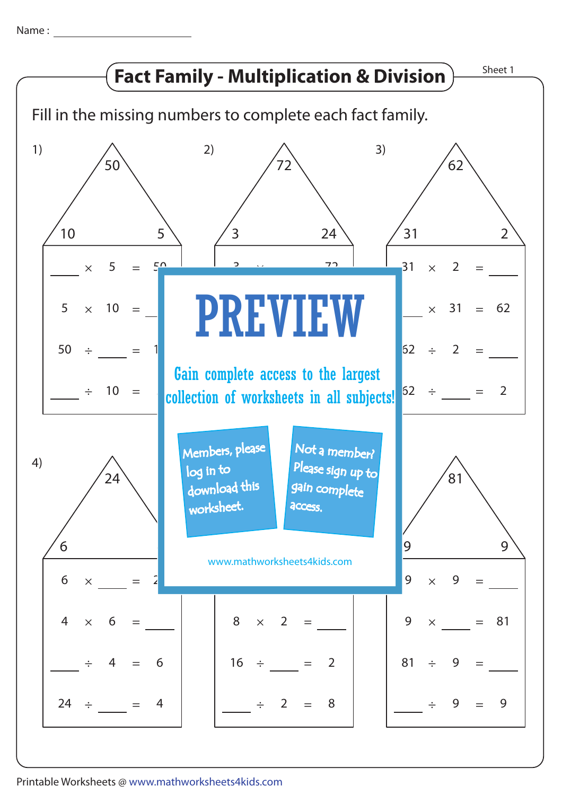Name: